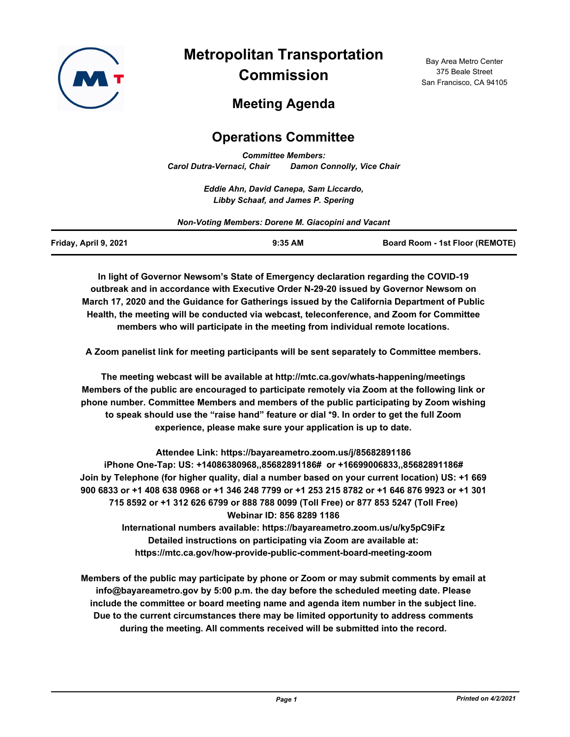

**Metropolitan Transportation Commission**

Bay Area Metro Center 375 Beale Street San Francisco, CA 94105

# **Meeting Agenda**

# **Operations Committee**

*Committee Members: Carol Dutra-Vernaci, Chair Damon Connolly, Vice Chair*

> *Eddie Ahn, David Canepa, Sam Liccardo, Libby Schaaf, and James P. Spering*

*Non-Voting Members: Dorene M. Giacopini and Vacant*

| Friday, April 9, 2021 | $9:35$ AM | <b>Board Room - 1st Floor (REMOTE)</b> |
|-----------------------|-----------|----------------------------------------|
|                       |           |                                        |

**In light of Governor Newsom's State of Emergency declaration regarding the COVID-19 outbreak and in accordance with Executive Order N-29-20 issued by Governor Newsom on March 17, 2020 and the Guidance for Gatherings issued by the California Department of Public Health, the meeting will be conducted via webcast, teleconference, and Zoom for Committee members who will participate in the meeting from individual remote locations.**

**A Zoom panelist link for meeting participants will be sent separately to Committee members.**

**The meeting webcast will be available at http://mtc.ca.gov/whats-happening/meetings Members of the public are encouraged to participate remotely via Zoom at the following link or phone number. Committee Members and members of the public participating by Zoom wishing to speak should use the "raise hand" feature or dial \*9. In order to get the full Zoom experience, please make sure your application is up to date.**

**Attendee Link: https://bayareametro.zoom.us/j/85682891186 iPhone One-Tap: US: +14086380968,,85682891186# or +16699006833,,85682891186# Join by Telephone (for higher quality, dial a number based on your current location) US: +1 669 900 6833 or +1 408 638 0968 or +1 346 248 7799 or +1 253 215 8782 or +1 646 876 9923 or +1 301 715 8592 or +1 312 626 6799 or 888 788 0099 (Toll Free) or 877 853 5247 (Toll Free) Webinar ID: 856 8289 1186 International numbers available: https://bayareametro.zoom.us/u/ky5pC9iFz**

**Detailed instructions on participating via Zoom are available at: https://mtc.ca.gov/how-provide-public-comment-board-meeting-zoom**

**Members of the public may participate by phone or Zoom or may submit comments by email at info@bayareametro.gov by 5:00 p.m. the day before the scheduled meeting date. Please include the committee or board meeting name and agenda item number in the subject line. Due to the current circumstances there may be limited opportunity to address comments during the meeting. All comments received will be submitted into the record.**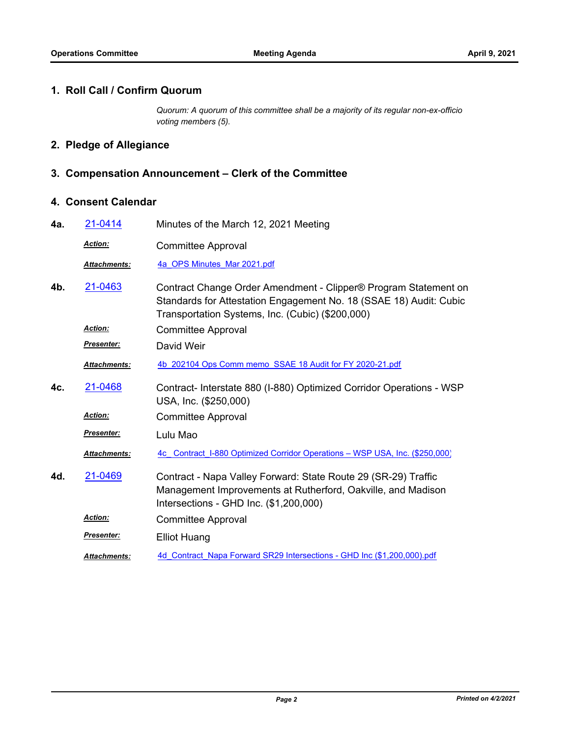#### **1. Roll Call / Confirm Quorum**

*Quorum: A quorum of this committee shall be a majority of its regular non-ex-officio voting members (5).*

## **2. Pledge of Allegiance**

### **3. Compensation Announcement – Clerk of the Committee**

### **4. Consent Calendar**

| 4a. | 21-0414             | Minutes of the March 12, 2021 Meeting                                                                                                                                                     |  |
|-----|---------------------|-------------------------------------------------------------------------------------------------------------------------------------------------------------------------------------------|--|
|     | Action:             | <b>Committee Approval</b>                                                                                                                                                                 |  |
|     | <b>Attachments:</b> | 4a OPS Minutes Mar 2021.pdf                                                                                                                                                               |  |
| 4b. | 21-0463             | Contract Change Order Amendment - Clipper® Program Statement on<br>Standards for Attestation Engagement No. 18 (SSAE 18) Audit: Cubic<br>Transportation Systems, Inc. (Cubic) (\$200,000) |  |
|     | <b>Action:</b>      | <b>Committee Approval</b>                                                                                                                                                                 |  |
|     | Presenter:          | David Weir                                                                                                                                                                                |  |
|     | Attachments:        | 4b 202104 Ops Comm memo SSAE 18 Audit for FY 2020-21.pdf                                                                                                                                  |  |
| 4c. | 21-0468             | Contract- Interstate 880 (I-880) Optimized Corridor Operations - WSP<br>USA, Inc. (\$250,000)                                                                                             |  |
|     | Action:             | <b>Committee Approval</b>                                                                                                                                                                 |  |
|     | <b>Presenter:</b>   | Lulu Mao                                                                                                                                                                                  |  |
|     | <b>Attachments:</b> | 4c Contract I-880 Optimized Corridor Operations - WSP USA, Inc. (\$250,000)                                                                                                               |  |
| 4d. | 21-0469             | Contract - Napa Valley Forward: State Route 29 (SR-29) Traffic<br>Management Improvements at Rutherford, Oakville, and Madison<br>Intersections - GHD Inc. (\$1,200,000)                  |  |
|     | Action:             | <b>Committee Approval</b>                                                                                                                                                                 |  |
|     | Presenter:          | <b>Elliot Huang</b>                                                                                                                                                                       |  |
|     | <b>Attachments:</b> | 4d Contract Napa Forward SR29 Intersections - GHD Inc (\$1,200,000).pdf                                                                                                                   |  |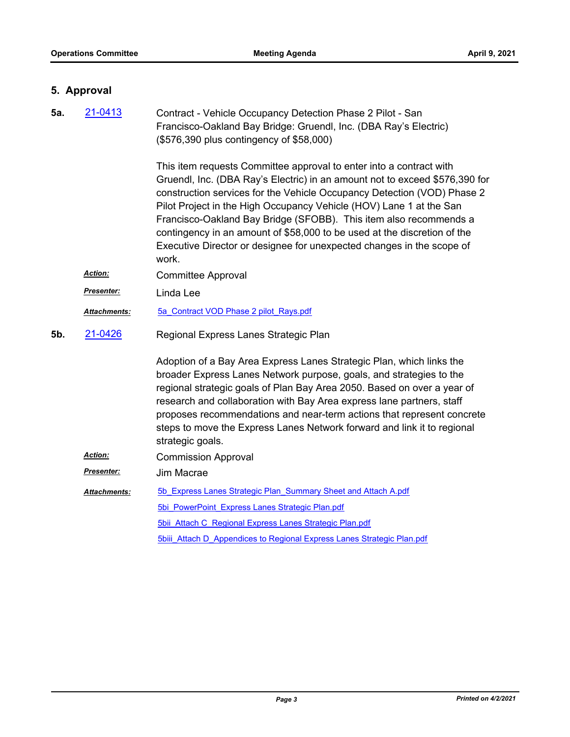## **5. Approval**

| 5a. | 21-0413             | Contract - Vehicle Occupancy Detection Phase 2 Pilot - San<br>Francisco-Oakland Bay Bridge: Gruendl, Inc. (DBA Ray's Electric)<br>(\$576,390 plus contingency of \$58,000)                                                                                                                                                                                                                                                                                                                                                              |
|-----|---------------------|-----------------------------------------------------------------------------------------------------------------------------------------------------------------------------------------------------------------------------------------------------------------------------------------------------------------------------------------------------------------------------------------------------------------------------------------------------------------------------------------------------------------------------------------|
|     |                     | This item requests Committee approval to enter into a contract with<br>Gruendl, Inc. (DBA Ray's Electric) in an amount not to exceed \$576,390 for<br>construction services for the Vehicle Occupancy Detection (VOD) Phase 2<br>Pilot Project in the High Occupancy Vehicle (HOV) Lane 1 at the San<br>Francisco-Oakland Bay Bridge (SFOBB). This item also recommends a<br>contingency in an amount of \$58,000 to be used at the discretion of the<br>Executive Director or designee for unexpected changes in the scope of<br>work. |
|     | Action:             | <b>Committee Approval</b>                                                                                                                                                                                                                                                                                                                                                                                                                                                                                                               |
|     | Presenter:          | Linda Lee                                                                                                                                                                                                                                                                                                                                                                                                                                                                                                                               |
|     | Attachments:        | 5a Contract VOD Phase 2 pilot Rays.pdf                                                                                                                                                                                                                                                                                                                                                                                                                                                                                                  |
| 5b. | 21-0426             | Regional Express Lanes Strategic Plan                                                                                                                                                                                                                                                                                                                                                                                                                                                                                                   |
|     |                     | Adoption of a Bay Area Express Lanes Strategic Plan, which links the<br>broader Express Lanes Network purpose, goals, and strategies to the<br>regional strategic goals of Plan Bay Area 2050. Based on over a year of<br>research and collaboration with Bay Area express lane partners, staff<br>proposes recommendations and near-term actions that represent concrete<br>steps to move the Express Lanes Network forward and link it to regional<br>strategic goals.                                                                |
|     | Action:             | <b>Commission Approval</b>                                                                                                                                                                                                                                                                                                                                                                                                                                                                                                              |
|     | Presenter:          | Jim Macrae                                                                                                                                                                                                                                                                                                                                                                                                                                                                                                                              |
|     | <b>Attachments:</b> | 5b Express Lanes Strategic Plan Summary Sheet and Attach A.pdf                                                                                                                                                                                                                                                                                                                                                                                                                                                                          |
|     |                     | 5bi PowerPoint Express Lanes Strategic Plan.pdf                                                                                                                                                                                                                                                                                                                                                                                                                                                                                         |
|     |                     | 5bii Attach C Regional Express Lanes Strategic Plan.pdf                                                                                                                                                                                                                                                                                                                                                                                                                                                                                 |
|     |                     | <b>5bill Attach D Appendices to Regional Express Lanes Strategic Plan.pdf</b>                                                                                                                                                                                                                                                                                                                                                                                                                                                           |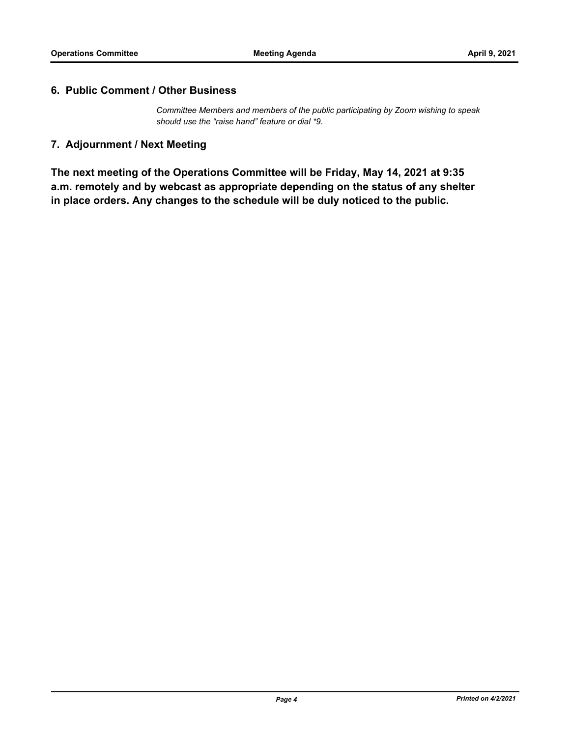#### **6. Public Comment / Other Business**

*Committee Members and members of the public participating by Zoom wishing to speak should use the "raise hand" feature or dial \*9.*

### **7. Adjournment / Next Meeting**

**The next meeting of the Operations Committee will be Friday, May 14, 2021 at 9:35 a.m. remotely and by webcast as appropriate depending on the status of any shelter in place orders. Any changes to the schedule will be duly noticed to the public.**